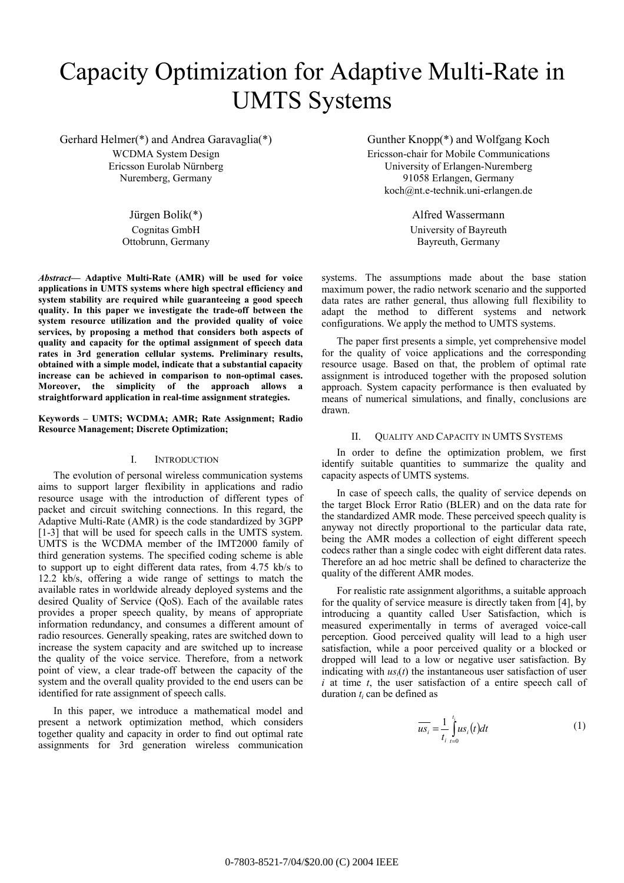# Capacity Optimization for Adaptive Multi-Rate in UMTS Systems

Gerhard Helmer(\*) and Andrea Garavaglia(\*)

WCDMA System Design Ericsson Eurolab Nürnberg Nuremberg, Germany

> Jürgen Bolik(\*) Cognitas GmbH Ottobrunn, Germany

*Abstract***— Adaptive Multi-Rate (AMR) will be used for voice applications in UMTS systems where high spectral efficiency and system stability are required while guaranteeing a good speech quality. In this paper we investigate the trade-off between the system resource utilization and the provided quality of voice services, by proposing a method that considers both aspects of quality and capacity for the optimal assignment of speech data rates in 3rd generation cellular systems. Preliminary results, obtained with a simple model, indicate that a substantial capacity increase can be achieved in comparison to non-optimal cases. Moreover, the simplicity of the approach allows a straightforward application in real-time assignment strategies.** 

**Keywords – UMTS; WCDMA; AMR; Rate Assignment; Radio Resource Management; Discrete Optimization;** 

### I. INTRODUCTION

The evolution of personal wireless communication systems aims to support larger flexibility in applications and radio resource usage with the introduction of different types of packet and circuit switching connections. In this regard, the Adaptive Multi-Rate (AMR) is the code standardized by 3GPP [1-3] that will be used for speech calls in the UMTS system. UMTS is the WCDMA member of the IMT2000 family of third generation systems. The specified coding scheme is able to support up to eight different data rates, from 4.75 kb/s to 12.2 kb/s, offering a wide range of settings to match the available rates in worldwide already deployed systems and the desired Quality of Service (QoS). Each of the available rates provides a proper speech quality, by means of appropriate information redundancy, and consumes a different amount of radio resources. Generally speaking, rates are switched down to increase the system capacity and are switched up to increase the quality of the voice service. Therefore, from a network point of view, a clear trade-off between the capacity of the system and the overall quality provided to the end users can be identified for rate assignment of speech calls.

In this paper, we introduce a mathematical model and present a network optimization method, which considers together quality and capacity in order to find out optimal rate assignments for 3rd generation wireless communication Gunther Knopp(\*) and Wolfgang Koch

Ericsson-chair for Mobile Communications University of Erlangen-Nuremberg 91058 Erlangen, Germany koch@nt.e-technik.uni-erlangen.de

> Alfred Wassermann University of Bayreuth Bayreuth, Germany

systems. The assumptions made about the base station maximum power, the radio network scenario and the supported data rates are rather general, thus allowing full flexibility to adapt the method to different systems and network configurations. We apply the method to UMTS systems.

The paper first presents a simple, yet comprehensive model for the quality of voice applications and the corresponding resource usage. Based on that, the problem of optimal rate assignment is introduced together with the proposed solution approach. System capacity performance is then evaluated by means of numerical simulations, and finally, conclusions are drawn.

#### II. QUALITY AND CAPACITY IN UMTS SYSTEMS

In order to define the optimization problem, we first identify suitable quantities to summarize the quality and capacity aspects of UMTS systems.

In case of speech calls, the quality of service depends on the target Block Error Ratio (BLER) and on the data rate for the standardized AMR mode. These perceived speech quality is anyway not directly proportional to the particular data rate, being the AMR modes a collection of eight different speech codecs rather than a single codec with eight different data rates. Therefore an ad hoc metric shall be defined to characterize the quality of the different AMR modes.

For realistic rate assignment algorithms, a suitable approach for the quality of service measure is directly taken from [4], by introducing a quantity called User Satisfaction, which is measured experimentally in terms of averaged voice-call perception. Good perceived quality will lead to a high user satisfaction, while a poor perceived quality or a blocked or dropped will lead to a low or negative user satisfaction. By indicating with  $us_i(t)$  the instantaneous user satisfaction of user *i* at time *t*, the user satisfaction of a entire speech call of duration  $t_i$  can be defined as

$$
\overline{us_i} = \frac{1}{t_i} \int_{t=0}^{t_i} us_i(t) dt
$$
 (1)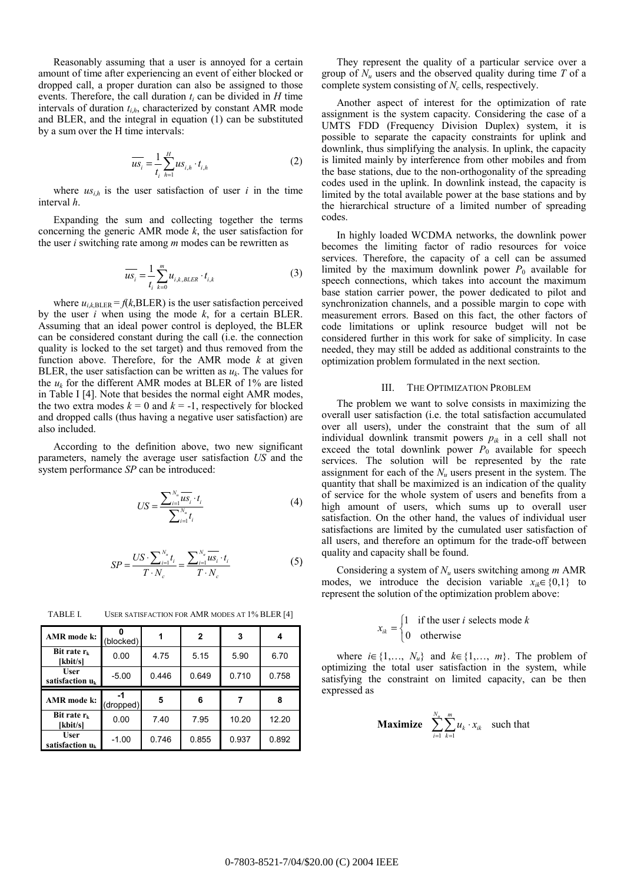Reasonably assuming that a user is annoyed for a certain amount of time after experiencing an event of either blocked or dropped call, a proper duration can also be assigned to those events. Therefore, the call duration  $t_i$  can be divided in  $H$  time intervals of duration *ti*,*h*, characterized by constant AMR mode and BLER, and the integral in equation (1) can be substituted by a sum over the H time intervals:

$$
\overline{us_i} = \frac{1}{t_i} \sum_{h=1}^{H} u s_{i,h} \cdot t_{i,h}
$$
 (2)

where  $us_{ih}$  is the user satisfaction of user *i* in the time interval *h*.

Expanding the sum and collecting together the terms concerning the generic AMR mode *k*, the user satisfaction for the user *i* switching rate among *m* modes can be rewritten as

$$
\overline{u s_i} = \frac{1}{t_i} \sum_{k=0}^{m} u_{i,k,BLER} \cdot t_{i,k}
$$
 (3)

where  $u_{i,k,\text{BLER}} = f(k,\text{BLER})$  is the user satisfaction perceived by the user *i* when using the mode *k*, for a certain BLER. Assuming that an ideal power control is deployed, the BLER can be considered constant during the call (i.e. the connection quality is locked to the set target) and thus removed from the function above. Therefore, for the AMR mode *k* at given BLER, the user satisfaction can be written as  $u_k$ . The values for the  $u_k$  for the different AMR modes at BLER of 1% are listed in Table I [4]. Note that besides the normal eight AMR modes, the two extra modes  $k = 0$  and  $k = -1$ , respectively for blocked and dropped calls (thus having a negative user satisfaction) are also included.

According to the definition above, two new significant parameters, namely the average user satisfaction *US* and the system performance *SP* can be introduced:

$$
US = \frac{\sum_{i=1}^{N_u} \overline{us_i} \cdot t_i}{\sum_{i=1}^{N_u} t_i}
$$
(4)

$$
SP = \frac{US \cdot \sum_{i=1}^{N_u} t_i}{T \cdot N_c} = \frac{\sum_{i=1}^{N_u} \overline{us_i} \cdot t_i}{T \cdot N_c}
$$
(5)

TABLE I. USER SATISFACTION FOR AMR MODES AT 1% BLER [4]

| AMR mode k:                                  | (blocked) | 1     | $\mathbf{2}$ | 3     |       |
|----------------------------------------------|-----------|-------|--------------|-------|-------|
| Bit rate $r_k$<br>[kbit/s]                   | 0.00      | 4.75  | 5.15         | 5.90  | 6.70  |
| <b>User</b><br>satisfaction $\mathbf{u}_{k}$ | $-5.00$   | 0.446 | 0.649        | 0.710 | 0.758 |
|                                              |           |       |              |       |       |
| <b>AMR</b> mode k:                           | (dropped) | 5     | 6            |       | 8     |
| Bit rate $r_{k}$<br>[kbit/s]                 | 0.00      | 7.40  | 7.95         | 10.20 | 12.20 |

They represent the quality of a particular service over a group of  $N_u$  users and the observed quality during time  $T$  of a complete system consisting of  $N_c$  cells, respectively.

Another aspect of interest for the optimization of rate assignment is the system capacity. Considering the case of a UMTS FDD (Frequency Division Duplex) system, it is possible to separate the capacity constraints for uplink and downlink, thus simplifying the analysis. In uplink, the capacity is limited mainly by interference from other mobiles and from the base stations, due to the non-orthogonality of the spreading codes used in the uplink. In downlink instead, the capacity is limited by the total available power at the base stations and by the hierarchical structure of a limited number of spreading codes.

In highly loaded WCDMA networks, the downlink power becomes the limiting factor of radio resources for voice services. Therefore, the capacity of a cell can be assumed limited by the maximum downlink power  $P_0$  available for speech connections, which takes into account the maximum base station carrier power, the power dedicated to pilot and synchronization channels, and a possible margin to cope with measurement errors. Based on this fact, the other factors of code limitations or uplink resource budget will not be considered further in this work for sake of simplicity. In case needed, they may still be added as additional constraints to the optimization problem formulated in the next section.

#### III. THE OPTIMIZATION PROBLEM

The problem we want to solve consists in maximizing the overall user satisfaction (i.e. the total satisfaction accumulated over all users), under the constraint that the sum of all individual downlink transmit powers *pik* in a cell shall not exceed the total downlink power  $P_0$  available for speech services. The solution will be represented by the rate assignment for each of the  $N_u$  users present in the system. The quantity that shall be maximized is an indication of the quality of service for the whole system of users and benefits from a high amount of users, which sums up to overall user satisfaction. On the other hand, the values of individual user satisfactions are limited by the cumulated user satisfaction of all users, and therefore an optimum for the trade-off between quality and capacity shall be found.

Considering a system of *Nu* users switching among *m* AMR modes, we introduce the decision variable  $x_{ik} \in \{0,1\}$  to represent the solution of the optimization problem above:

$$
x_{ik} = \begin{cases} 1 & \text{if the user } i \text{ selects mode } k \\ 0 & \text{otherwise} \end{cases}
$$

where  $i \in \{1, \ldots, N_u\}$  and  $k \in \{1, \ldots, m\}$ . The problem of optimizing the total user satisfaction in the system, while satisfying the constraint on limited capacity, can be then expressed as

**Maximize** 
$$
\sum_{i=1}^{N_u} \sum_{k=1}^{m} u_k \cdot x_{ik}
$$
 such that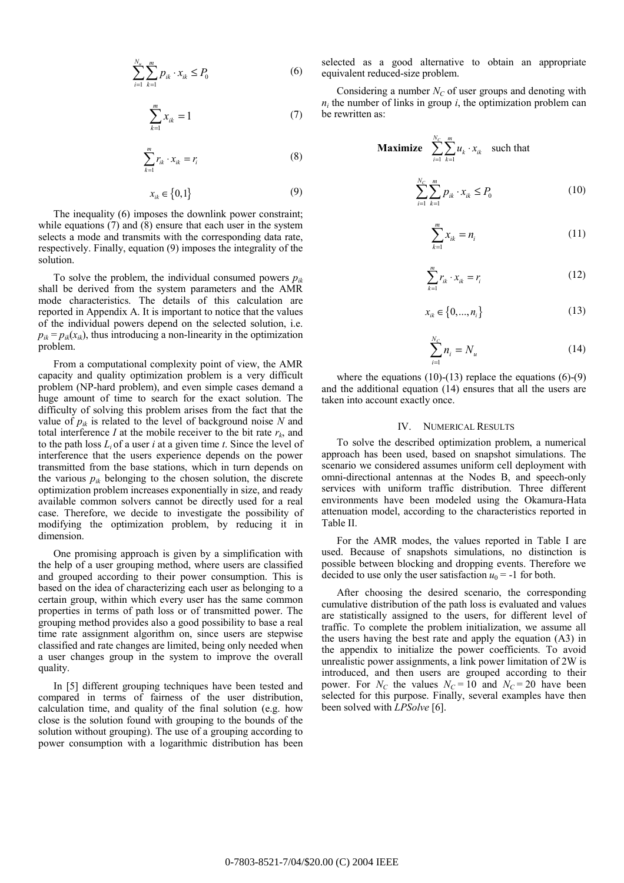$$
\sum_{i=1}^{N_u} \sum_{k=1}^{m} p_{ik} \cdot x_{ik} \le P_0 \tag{6}
$$

$$
\sum_{k=1}^{m} x_{ik} = 1
$$
 (7)

$$
\sum_{k=1}^{m} r_{ik} \cdot x_{ik} = r_i \tag{8}
$$

$$
x_{ik} \in \{0, 1\} \tag{9}
$$

The inequality (6) imposes the downlink power constraint: while equations (7) and (8) ensure that each user in the system selects a mode and transmits with the corresponding data rate, respectively. Finally, equation (9) imposes the integrality of the solution.

To solve the problem, the individual consumed powers *pik* shall be derived from the system parameters and the AMR mode characteristics. The details of this calculation are reported in Appendix A. It is important to notice that the values of the individual powers depend on the selected solution, i.e.  $p_{ik} = p_{ik}(x_{ik})$ , thus introducing a non-linearity in the optimization problem.

From a computational complexity point of view, the AMR capacity and quality optimization problem is a very difficult problem (NP-hard problem), and even simple cases demand a huge amount of time to search for the exact solution. The difficulty of solving this problem arises from the fact that the value of  $p_{ik}$  is related to the level of background noise N and total interference *I* at the mobile receiver to the bit rate  $r_k$ , and to the path loss *Li* of a user *i* at a given time *t*. Since the level of interference that the users experience depends on the power transmitted from the base stations, which in turn depends on the various  $p_{ik}$  belonging to the chosen solution, the discrete optimization problem increases exponentially in size, and ready available common solvers cannot be directly used for a real case. Therefore, we decide to investigate the possibility of modifying the optimization problem, by reducing it in dimension.

One promising approach is given by a simplification with the help of a user grouping method, where users are classified and grouped according to their power consumption. This is based on the idea of characterizing each user as belonging to a certain group, within which every user has the same common properties in terms of path loss or of transmitted power. The grouping method provides also a good possibility to base a real time rate assignment algorithm on, since users are stepwise classified and rate changes are limited, being only needed when a user changes group in the system to improve the overall quality.

In [5] different grouping techniques have been tested and compared in terms of fairness of the user distribution, calculation time, and quality of the final solution (e.g. how close is the solution found with grouping to the bounds of the solution without grouping). The use of a grouping according to power consumption with a logarithmic distribution has been selected as a good alternative to obtain an appropriate equivalent reduced-size problem.

Considering a number  $N_c$  of user groups and denoting with  $n_i$  the number of links in group  $i$ , the optimization problem can be rewritten as:

**Maximize** 
$$
\sum_{i=1}^{N_C} \sum_{k=1}^{m} u_k \cdot x_{ik}
$$
 such that  

$$
\sum_{i=1}^{N_C} \sum_{k=1}^{m} p_{ik} \cdot x_{ik} \le P_0
$$
 (10)

$$
\sum_{k=1}^{m} x_{ik} = n_i \tag{11}
$$

$$
\sum_{k=1}^{m} r_{ik} \cdot x_{ik} = r_i \tag{12}
$$

$$
x_{ik} \in \{0, ..., n_i\}
$$
 (13)

$$
\sum_{i=1}^{N_C} n_i = N_u \tag{14}
$$

where the equations  $(10)-(13)$  replace the equations  $(6)-(9)$ and the additional equation (14) ensures that all the users are taken into account exactly once.

#### IV. NUMERICAL RESULTS

To solve the described optimization problem, a numerical approach has been used, based on snapshot simulations. The scenario we considered assumes uniform cell deployment with omni-directional antennas at the Nodes B, and speech-only services with uniform traffic distribution. Three different environments have been modeled using the Okamura-Hata attenuation model, according to the characteristics reported in Table II.

For the AMR modes, the values reported in Table I are used. Because of snapshots simulations, no distinction is possible between blocking and dropping events. Therefore we decided to use only the user satisfaction  $u_0 = -1$  for both.

After choosing the desired scenario, the corresponding cumulative distribution of the path loss is evaluated and values are statistically assigned to the users, for different level of traffic. To complete the problem initialization, we assume all the users having the best rate and apply the equation (A3) in the appendix to initialize the power coefficients. To avoid unrealistic power assignments, a link power limitation of 2W is introduced, and then users are grouped according to their power. For  $N_c$  the values  $N_c = 10$  and  $N_c = 20$  have been selected for this purpose. Finally, several examples have then been solved with *LPSolve* [6].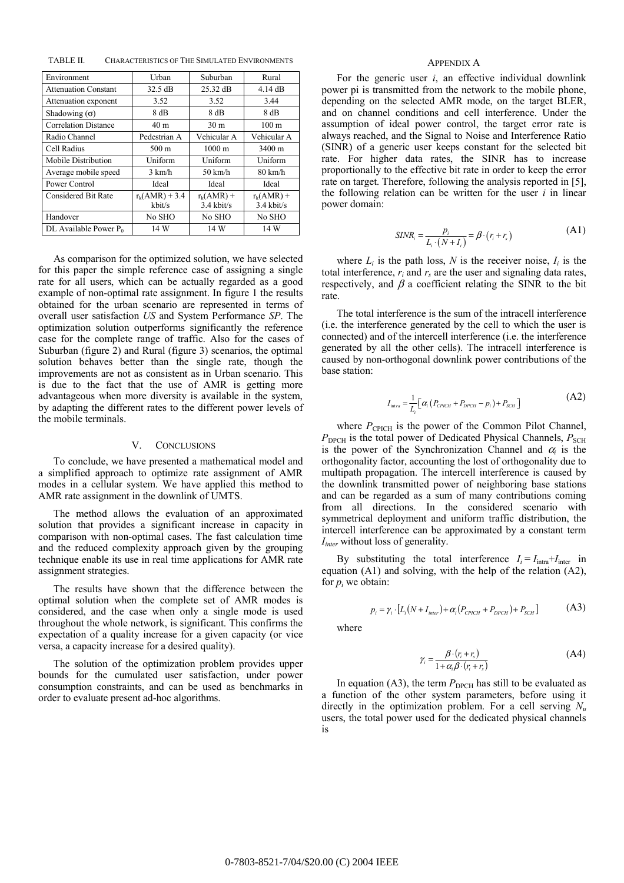| Environment                       | Urban                      | Suburban                     | Rural                        |
|-----------------------------------|----------------------------|------------------------------|------------------------------|
| <b>Attenuation Constant</b>       | 32.5 dB                    | 25.32 dB                     | 4.14dB                       |
| Attenuation exponent              | 3.52                       | 3.52                         | 3.44                         |
| Shadowing $(\sigma)$              | 8 dB                       | 8 dB                         | 8 dB                         |
| <b>Correlation Distance</b>       | 40 <sub>m</sub>            | 30 <sub>m</sub>              | 100 <sub>m</sub>             |
| Radio Channel                     | Pedestrian A               | Vehicular A                  | Vehicular A                  |
| Cell Radius                       | $500 \text{ m}$            | $1000 \text{ m}$             | 3400 m                       |
| Mobile Distribution               | Uniform                    | Uniform                      | Uniform                      |
| Average mobile speed              | $3 \text{ km/h}$           | $50 \text{ km/h}$            | $80 \text{ km/h}$            |
| Power Control                     | Ideal                      | Ideal                        | Ideal                        |
| <b>Considered Bit Rate</b>        | $r_k(AMR) + 3.4$<br>kbit/s | $r_k(AMR)$ +<br>$3.4$ kbit/s | $r_k(AMR)$ +<br>$3.4$ kbit/s |
| Handover                          | No SHO                     | No SHO                       | No SHO                       |
| DL Available Power P <sub>0</sub> | 14 W                       | 14 W                         | 14 W                         |

As comparison for the optimized solution, we have selected for this paper the simple reference case of assigning a single rate for all users, which can be actually regarded as a good example of non-optimal rate assignment. In figure 1 the results obtained for the urban scenario are represented in terms of overall user satisfaction *US* and System Performance *SP*. The optimization solution outperforms significantly the reference case for the complete range of traffic. Also for the cases of Suburban (figure 2) and Rural (figure 3) scenarios, the optimal solution behaves better than the single rate, though the improvements are not as consistent as in Urban scenario. This is due to the fact that the use of AMR is getting more advantageous when more diversity is available in the system, by adapting the different rates to the different power levels of the mobile terminals.

### V. CONCLUSIONS

To conclude, we have presented a mathematical model and a simplified approach to optimize rate assignment of AMR modes in a cellular system. We have applied this method to AMR rate assignment in the downlink of UMTS.

The method allows the evaluation of an approximated solution that provides a significant increase in capacity in comparison with non-optimal cases. The fast calculation time and the reduced complexity approach given by the grouping technique enable its use in real time applications for AMR rate assignment strategies.

The results have shown that the difference between the optimal solution when the complete set of AMR modes is considered, and the case when only a single mode is used throughout the whole network, is significant. This confirms the expectation of a quality increase for a given capacity (or vice versa, a capacity increase for a desired quality).

The solution of the optimization problem provides upper bounds for the cumulated user satisfaction, under power consumption constraints, and can be used as benchmarks in order to evaluate present ad-hoc algorithms.

#### APPENDIX A

For the generic user *i*, an effective individual downlink power pi is transmitted from the network to the mobile phone, depending on the selected AMR mode, on the target BLER, and on channel conditions and cell interference. Under the assumption of ideal power control, the target error rate is always reached, and the Signal to Noise and Interference Ratio (SINR) of a generic user keeps constant for the selected bit rate. For higher data rates, the SINR has to increase proportionally to the effective bit rate in order to keep the error rate on target. Therefore, following the analysis reported in [5], the following relation can be written for the user *i* in linear power domain:

$$
SINR_i = \frac{p_i}{L_i \cdot (N + I_i)} = \beta \cdot (r_i + r_s)
$$
\n(A1)

where  $L_i$  is the path loss, N is the receiver noise,  $I_i$  is the total interference,  $r_i$  and  $r_s$  are the user and signaling data rates, respectively, and  $\beta$  a coefficient relating the SINR to the bit rate.

The total interference is the sum of the intracell interference (i.e. the interference generated by the cell to which the user is connected) and of the intercell interference (i.e. the interference generated by all the other cells). The intracell interference is caused by non-orthogonal downlink power contributions of the base station:

*i*

$$
I_{\text{intra}} = \frac{1}{L_i} \left[ \alpha_i \left( P_{\text{CPICH}} + P_{\text{DPCH}} - p_i \right) + P_{\text{SCH}} \right] \tag{A2}
$$

where  $P_{\text{CPICH}}$  is the power of the Common Pilot Channel,  $P_{\text{DPCH}}$  is the total power of Dedicated Physical Channels,  $P_{\text{SCH}}$ is the power of the Synchronization Channel and  $\alpha_i$  is the orthogonality factor, accounting the lost of orthogonality due to multipath propagation. The intercell interference is caused by the downlink transmitted power of neighboring base stations and can be regarded as a sum of many contributions coming from all directions. In the considered scenario with symmetrical deployment and uniform traffic distribution, the intercell interference can be approximated by a constant term *I<sub>inter</sub>* without loss of generality.

By substituting the total interference  $I_i = I_{intra} + I_{inter}$  in equation (A1) and solving, with the help of the relation (A2), for  $p_i$  we obtain:

$$
p_i = \gamma_i \cdot [L_i(N + I_{inter}) + \alpha_i (P_{\text{CPICH}} + P_{\text{DPCH}}) + P_{\text{SCH}}] \tag{A3}
$$

where

$$
\gamma_i = \frac{\beta \cdot (r_i + r_s)}{1 + \alpha_i \beta \cdot (r_i + r_s)}\tag{A4}
$$

In equation (A3), the term  $P_{\text{DPCH}}$  has still to be evaluated as a function of the other system parameters, before using it directly in the optimization problem. For a cell serving *Nu* users, the total power used for the dedicated physical channels is